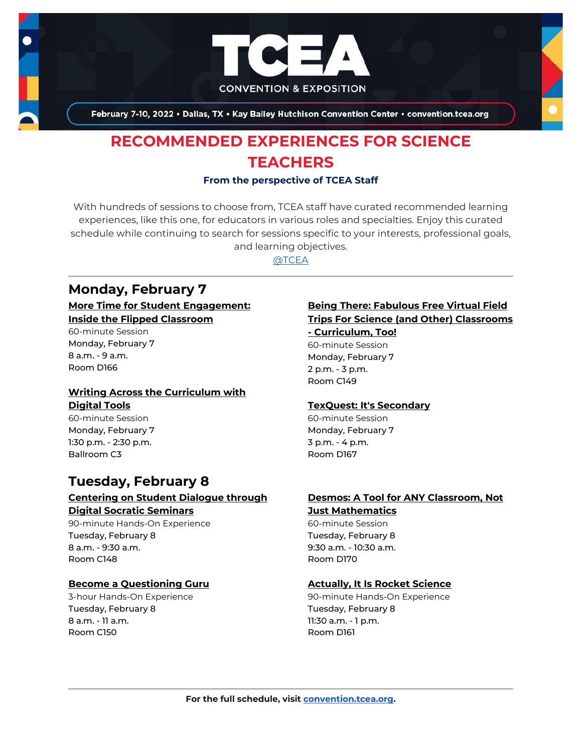

February 7-10, 2022 . Dallas, TX . Kay Bailey Hutchison Convention Center . convention.tcea.org

# **RECOMMENDED EXPERIENCES FOR SCIENCE TEACHERS**

#### **From the perspective of TCEA Staff**

With hundreds of sessions to choose from, TCEA staff have curated recommended learning experiences, like this one, for educators in various roles and specialties. Enjoy this curated schedule while continuing to search for sessions specific to your interests, professional goals, and learning objectives.

[@TCEA](https://twitter.com/TCEA)

## **Monday, February 7**

## **[More Time for Student Engagement:](https://register.tcea.org/2022/session_list.cfm?session_key=023D8642-F04D-A206-2B64-19D43D34C87E&session_date=Monday,%20Feb%2007,%202022)  [Inside the Flipped Classroom](https://register.tcea.org/2022/session_list.cfm?session_key=023D8642-F04D-A206-2B64-19D43D34C87E&session_date=Monday,%20Feb%2007,%202022)**

60-minute Session Monday, February 7 8 a.m. - 9 a.m. Room D166

## **[Writing Across the Curriculum with](https://register.tcea.org/2022/session_list.cfm?session_key=02464766-F04D-A206-2B64-861511FE106A&session_date=Monday,%20Feb%2007,%202022)  [Digital Tools](https://register.tcea.org/2022/session_list.cfm?session_key=02464766-F04D-A206-2B64-861511FE106A&session_date=Monday,%20Feb%2007,%202022)**

60-minute Session Monday, February 7 1:30 p.m. - 2:30 p.m. Ballroom C3

## **Tuesday, February 8**

## **[Centering on Student Dialogue through](https://register.tcea.org/2022/session_list.cfm?session_key=0233077C-F04D-A206-2B64-DD2527A246C0&session_date=Tuesday,%20Feb%2008,%202022)  [Digital Socratic Seminars](https://register.tcea.org/2022/session_list.cfm?session_key=0233077C-F04D-A206-2B64-DD2527A246C0&session_date=Tuesday,%20Feb%2008,%202022)**

90-minute Hands-On Experience Tuesday, February 8 8 a.m. - 9:30 a.m. Room C148

## **[Become a Questioning Guru](https://register.tcea.org/2022/session_list.cfm?session_key=02317D13-F04D-A206-2B64-55AFD821DD03&session_date=Tuesday,%20Feb%2008,%202022)**

3-hour Hands-On Experience Tuesday, February 8 8 a.m. - 11 a.m. Room C150

#### **[Being There: Fabulous Free Virtual Field](https://register.tcea.org/2022/session_list.cfm?session_key=0231A945-F04D-A206-2B64-14582D3F7CC2&session_date=Monday,%20Feb%2007,%202022)  [Trips For Science \(and Other\) Classrooms](https://register.tcea.org/2022/session_list.cfm?session_key=0231A945-F04D-A206-2B64-14582D3F7CC2&session_date=Monday,%20Feb%2007,%202022)**

**- [Curriculum, Too!](https://register.tcea.org/2022/session_list.cfm?session_key=0231A945-F04D-A206-2B64-14582D3F7CC2&session_date=Monday,%20Feb%2007,%202022)** 60-minute Session Monday, February 7 2 p.m. - 3 p.m. Room C149

## **[TexQuest: It's Secondary](https://register.tcea.org/2022/session_list.cfm?session_key=0242468E-F04D-A206-2B64-B92C5FB85845&session_date=Monday,%20Feb%2007,%202022)**

60-minute Session Monday, February 7 3 p.m. - 4 p.m. Room D167

## **[Desmos: A Tool for ANY Classroom, Not](https://register.tcea.org/2022/session_list.cfm?session_key=0235802E-F04D-A206-2B64-A3C812BACD6A&session_date=Tuesday,%20Feb%2008,%202022)**

## **[Just Mathematics](https://register.tcea.org/2022/session_list.cfm?session_key=0235802E-F04D-A206-2B64-A3C812BACD6A&session_date=Tuesday,%20Feb%2008,%202022)**

60-minute Session Tuesday, February 8 9:30 a.m. - 10:30 a.m. Room D170

#### **[Actually, It Is Rocket Science](https://register.tcea.org/2022/session_list.cfm?session_key=0230535F-F04D-A206-2B64-5AB707DD89C6&session_date=Tuesday,%20Feb%2008,%202022)**

90-minute Hands-On Experience Tuesday, February 8 11:30 a.m. - 1 p.m. Room D161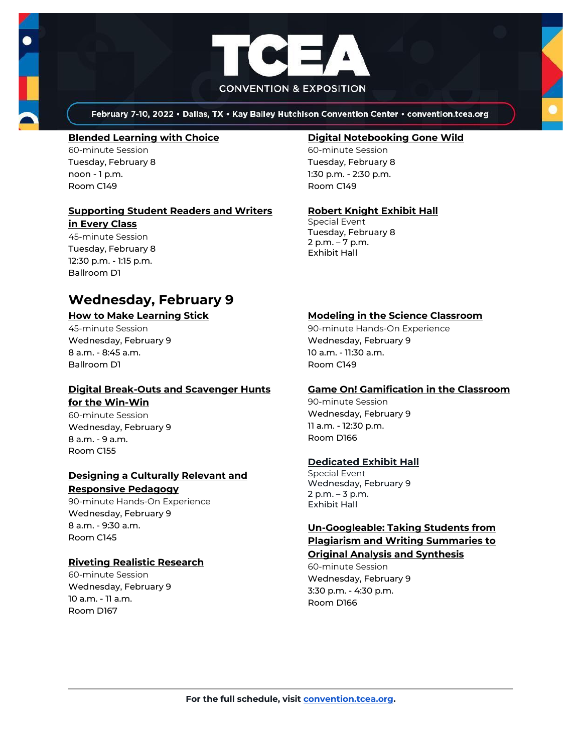

February 7-10, 2022 . Dallas, TX . Kay Bailey Hutchison Convention Center . convention.tcea.org

#### **[Blended Learning with Choice](https://register.tcea.org/2022/session_list.cfm?session_key=0231FDFA-F04D-A206-2B64-D1FB06269EC3&session_date=Tuesday,%20Feb%2008,%202022)**

60-minute Session Tuesday, February 8 noon - 1 p.m. Room C149

## **[Supporting Student Readers and Writers](https://register.tcea.org/2022/session_list.cfm?session_key=CBC88EE5-F04D-A206-2B64-A6631F8C2BDF&session_date=Tuesday,%20Feb%2008,%202022)**

**[in Every Class](https://register.tcea.org/2022/session_list.cfm?session_key=CBC88EE5-F04D-A206-2B64-A6631F8C2BDF&session_date=Tuesday,%20Feb%2008,%202022)** 45-minute Session Tuesday, February 8 12:30 p.m. - 1:15 p.m.

Ballroom D1

## **Wednesday, February 9**

#### **[How to Make Learning Stick](https://register.tcea.org/2022/session_list.cfm?session_key=0239CCCB-F04D-A206-2B64-DB4E1243673F&session_date=Wednesday,%20Feb%2009,%202022)**

45-minute Session Wednesday, February 9 8 a.m. - 8:45 a.m. Ballroom D1

#### **[Digital Break-Outs and Scavenger Hunts](https://register.tcea.org/2022/session_list.cfm?session_key=0235EBD8-F04D-A206-2B64-675FF68026C6&session_date=Wednesday,%20Feb%2009,%202022)  [for the Win-Win](https://register.tcea.org/2022/session_list.cfm?session_key=0235EBD8-F04D-A206-2B64-675FF68026C6&session_date=Wednesday,%20Feb%2009,%202022)**

60-minute Session Wednesday, February 9 8 a.m. - 9 a.m. Room C155

#### **[Designing a Culturally Relevant and](https://register.tcea.org/2022/session_list.cfm?session_key=61A1FC34-F04D-A206-2B64-00D3F0499C75&session_date=Wednesday,%20Feb%2009,%202022)  [Responsive Pedagogy](https://register.tcea.org/2022/session_list.cfm?session_key=61A1FC34-F04D-A206-2B64-00D3F0499C75&session_date=Wednesday,%20Feb%2009,%202022)**

90-minute Hands-On Experience Wednesday, February 9 8 a.m. - 9:30 a.m. Room C145

#### **[Riveting Realistic Research](https://register.tcea.org/2022/session_list.cfm?session_key=023F9CC0-F04D-A206-2B64-9E4334CB4DE8&session_date=Wednesday,%20Feb%2009,%202022)**

60-minute Session Wednesday, February 9 10 a.m. - 11 a.m. Room D167

#### **[Digital Notebooking Gone Wild](https://register.tcea.org/2022/session_list.cfm?session_key=023645B1-F04D-A206-2B64-F8472F91DA5B&session_date=Tuesday,%20Feb%2008,%202022)**

60-minute Session Tuesday, February 8 1:30 p.m. - 2:30 p.m. Room C149

#### **[Robert Knight Exhibit Hall](https://register.tcea.org/2022/session_list.cfm?session_key=61CDF249-F04D-A206-2B64-15D6559D2515&session_date=Tuesday,%20Feb%2008,%202022)**

Special Event Tuesday, February 8 2 p.m. – 7 p.m. Exhibit Hall

## **[Modeling in the Science Classroom](https://register.tcea.org/2022/session_list.cfm?session_key=023D6CBD-F04D-A206-2B64-1768CDBD8D77&session_date=Wednesday,%20Feb%2009,%202022)**

90-minute Hands-On Experience Wednesday, February 9 10 a.m. - 11:30 a.m. Room C149

#### **[Game On! Gamification in the Classroom](https://register.tcea.org/2022/session_list.cfm?session_key=02385502-F04D-A206-2B64-00021E9CC407&session_date=Wednesday,%20Feb%2009,%202022)**

90-minute Session Wednesday, February 9 11 a.m. - 12:30 p.m. Room D166

#### **[Dedicated Exhibit Hall](https://register.tcea.org/2022/session_list.cfm?session_key=61CDD8E6-F04D-A206-2B64-74AAAD8173D7&session_date=Wednesday,%20Feb%2009,%202022)**

Special Event Wednesday, February 9 2 p.m. – 3 p.m. Exhibit Hall

## **[Un-Googleable: Taking Students from](https://register.tcea.org/2022/session_list.cfm?session_key=0243D628-F04D-A206-2B64-5A19CEFCDA5E&session_date=Wednesday,%20Feb%2009,%202022)  [Plagiarism and Writing Summaries to](https://register.tcea.org/2022/session_list.cfm?session_key=0243D628-F04D-A206-2B64-5A19CEFCDA5E&session_date=Wednesday,%20Feb%2009,%202022)  [Original Analysis and Synthesis](https://register.tcea.org/2022/session_list.cfm?session_key=0243D628-F04D-A206-2B64-5A19CEFCDA5E&session_date=Wednesday,%20Feb%2009,%202022)**

60-minute Session Wednesday, February 9 3:30 p.m. - 4:30 p.m. Room D166